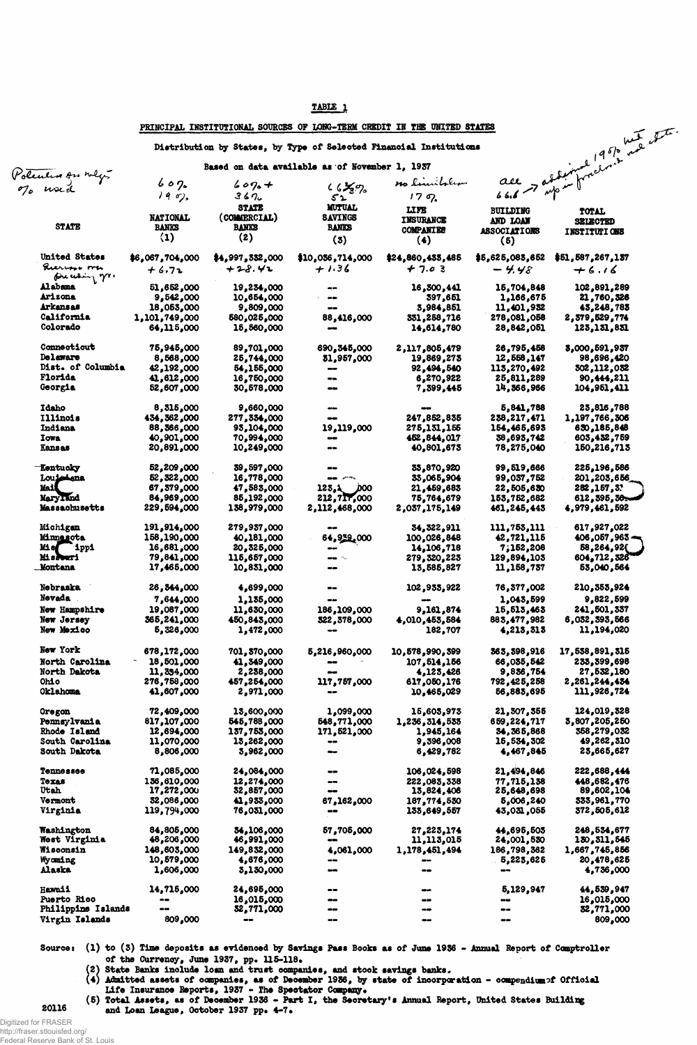| ART |
|-----|
|-----|

|                    |                          |                   |                                                | PRINCIPAL INSTITUTIONAL SOURCES OF LONG-TERM CREDIT IN THE UNITED STATES |                     | ace > articular 1951 met te |
|--------------------|--------------------------|-------------------|------------------------------------------------|--------------------------------------------------------------------------|---------------------|-----------------------------|
|                    |                          |                   |                                                | Distribution by States, by Type of Selected Financial Institutions       |                     |                             |
| Polendos on nego   |                          |                   | Based on data available as of November 1, 1937 | no limitalian                                                            |                     |                             |
|                    | 602                      | $609. +$          | $46\frac{1}{3}\%$                              |                                                                          |                     |                             |
|                    | 190,                     | 367.              | 52                                             | 179.                                                                     |                     |                             |
|                    |                          | <b>STATE</b>      | <b>MUTUAL</b>                                  | LIFE                                                                     | <b>BUILDING</b>     | TOTAL                       |
|                    | <b>NATIONAL</b>          | (COMMERCIAL)      | <b>SAVINGS</b>                                 | INSURANCE                                                                | AND LOAN            | <b>SELECTED</b>             |
| <b>STATE</b>       | <b>BANKS</b>             | <b>BANKS</b>      | <b>BANKS</b>                                   | <b>COMPANIES</b>                                                         | <b>ASSOCIATIONS</b> | <b>INSTITUTIONS</b>         |
|                    | (1)                      | (2)               | (3)                                            | (4)                                                                      | (5)                 |                             |
|                    |                          |                   |                                                |                                                                          |                     |                             |
| United States      | \$6,067,704,000          | \$4,997,332,000   | \$10,036,714,000                               | \$24,860,433,485                                                         | \$5,625,083,652     | \$51,587,267,137            |
| Querios ora        | $+6.72$                  | $+28.42$          | $+1.36$                                        | $+ 7.03$                                                                 | $-4.48$             | $+6.16$                     |
| precessing m.      |                          |                   |                                                |                                                                          |                     |                             |
| Alabama            | 51,652,000               | 19,234,000        |                                                | 16,300,441                                                               | 15,704,848          | 102,891,289                 |
| Arizona            | 9,542,000                | 10,654,000        |                                                | 397,651                                                                  | 1,166,675           | 21,760,326                  |
| <b>Arkansas</b>    | 18,053,000               | 9,809,000         | $\bullet\hspace{-.05in} \bullet$               | 3,984,851                                                                | 11,401,932          | 43,248,783                  |
| California         | 1,101,749,000            | 580,025,000       | 88,416,000                                     | 331,258,716                                                              | 278,081,058         | 2,579,529,774               |
| Colorado           | 64,115,000               | 15,560,000        | $- -$                                          | 14,614,780                                                               | 28,842,051          | 123,151,851                 |
|                    |                          |                   |                                                |                                                                          |                     |                             |
| Connecticut        | 75,945,000               | 89,701,000        | 690, 345,000                                   |                                                                          | 26,795,458          | 8,000,591,937               |
| Delaware           |                          |                   |                                                | 2,117,805,479                                                            |                     |                             |
| Dist. of Columbia  | 8,568,000                | 25,744,000        | 51,957,000                                     | 19,869,273                                                               | 12,558,147          | 98,696,420                  |
| Florida            | 42,192,000               | 54,155,000        |                                                | 92,494,540                                                               | 113,270,492         | 302,112,052                 |
| Georgia            | 41,612,000<br>52,607,000 | 16,750,000        |                                                | 6,270,922                                                                | 25,811,289          | 90,444,211                  |
|                    |                          | 30,578,000        |                                                | 7,399,445                                                                | 14,366,966          | 104, 951, 411               |
|                    |                          |                   |                                                |                                                                          |                     |                             |
| <b>Idaho</b>       | 8,315,000                | 9,660,000         |                                                | $\bullet$                                                                | 5,841,788           | 23,816,788                  |
| <b>Illinois</b>    | 434, 362, 000            | 277,334,000       |                                                | 247,852,835                                                              | 238,217,471         | 1,197,766,306               |
| Indiana            | 88,366,000               | 93,104,000        | 19,119,000                                     | 275,131,155                                                              | 154,465,693         | 630,185,848                 |
| Iowa               | 40,901,000               | 70,994,000        |                                                | 452,844,017                                                              | 38,693,742          | 603,432,759                 |
| <b>Kansas</b>      | 20,891,000               | 10,249,000        |                                                | 40,801,673                                                               | 78,275,040          | 150,216,713                 |
|                    |                          |                   |                                                |                                                                          |                     |                             |
| <b>Kentucky</b>    | 52,209,000               | 39,597,000        |                                                | 35,870,920                                                               | 99,519,666          | 225,196,586                 |
| Louisiana          | 52,322,000               | 16,778,000        |                                                | 33,065,904                                                               | 99,037,752          | 201,203,656                 |
| Mai                | 67,379,000               | 47,583,000        | 123.1 100                                      | 21,459,683                                                               | 22,505,630          | 282, 157, 3?                |
| MaryTand           | 84,969,000               | 85,192,000        | 212,717,000                                    | 75,764,679                                                               | 153,752,682         | 612, 595, 56                |
| Massachusetts      | 229,594,000              | 138,979,000       | 2,112,468,000                                  | 2,037,175,149                                                            | 461,245,445         | 4,979,461,592               |
|                    |                          |                   |                                                |                                                                          |                     |                             |
| Michigan           | 191,914,000              | 279,937,000       |                                                | 34, 322, 911                                                             | 111,753,111         | 617,927,022                 |
| <b>Minnesota</b>   | 199,190,000              | 40,181,000        | 64,932,000                                     | 100,026,848                                                              | 42,721,115          | $406,057,963$ $-$           |
| Mis ippi           | 16,681,000               | 20,325,000        | --                                             | 14,106,718                                                               | 7,152,208           | 58,264,92{                  |
| Misdouri           | 79,841,000               | 115,657,000       |                                                | 279,320,223                                                              | 129,894,105         | 604,712,326                 |
| <b>_Montana</b>    | 17,465,000               | 10,831,000        |                                                | 13,585,827                                                               | 11,158,737          | 53,040,564                  |
|                    |                          |                   |                                                |                                                                          |                     |                             |
| <b>Nebraska</b>    | 26, 344,000              | 4,699,000         |                                                | 102,933,922                                                              | 76,377,002          | 210,353,924                 |
| Nevada             | 7,644,000                | 1,135,000         |                                                |                                                                          | 1,043,599           | 9,822,599                   |
| New Hampshire      | 19,087,000               | 11,630,000        | 186,109,000                                    | 9,161,874                                                                | 15,513,463          | 241,501,337                 |
| New Jersey         | 365,241,000              | 450,843,000       | 322,378,000                                    | 4,010,453,584                                                            | 883,477,982         | 6,032,393,566               |
| New Mexico         | 5,326,000                | 1,472,000         | $\bullet$                                      | 182,707                                                                  | 4,213,313           | 11,194,020                  |
|                    |                          |                   |                                                |                                                                          |                     |                             |
| New York           |                          |                   |                                                |                                                                          |                     |                             |
|                    | 678,172,000              | 701, 370,000      | 5,216,960,000                                  | 10,578,990,399                                                           | 363, 398, 916       | 17,538,891,315              |
| North Carolina     | 18,501,000               | 41,349,000        |                                                | 107,514,156                                                              | 66,035,542          | 235, 399, 698               |
| North Dakota       | 11,354,000               | 2,238,000         |                                                | 4,123,426                                                                | 9,836,754           | 27,532,180                  |
| <b>Ohio</b>        | 276,758,000              | 457,254,000       | 117,757,000                                    | 617,050,176                                                              | 792,425,258         | 2,261,244,434               |
| Oklahoma           | 41,607,000               | 2,971,000         |                                                | 10,465,029                                                               | 56,883,695          | 111,926,724                 |
|                    |                          |                   |                                                |                                                                          |                     |                             |
| Oregon             | 72,409,000               | 13,600,000        | 1,099,000                                      | 15,603,973                                                               | 21,307,355          | 124,019,328                 |
| Pennsylvania       | 817,107,000              | 545,788,000       | 548,771,000                                    | 1,236,314,533                                                            | 659,224,717         | 3,807,205,250               |
| Rhode Island       | 12,694,000               | 157,755,000       | 171,521,000                                    | 1,945,164                                                                | 34,365,868          | 358,279,032                 |
| South Carolina     | 11,070,000               | 13,262,000        | $\qquad \qquad \blacksquare$                   | 9,396,008                                                                | 15,534,302          | 49,262,310                  |
| South Dakota       | 8,806,000                | 3,962,000         |                                                | 6,429,782                                                                | 4,467,845           | 23,665,627                  |
|                    |                          |                   |                                                |                                                                          |                     |                             |
| <b>Tennessee</b>   | 71,085,000               | 24,084,000        |                                                | 106,024,598                                                              | 21,494,846          | 222,688,444                 |
| Texas              | 136,610,000              | 12,274,000        |                                                | 222,083,338                                                              | 77,715,138          | 448,682,476                 |
| Utah               | 17,272,000               | 32,857,000        | œœ                                             | 13,824,406                                                               | 25,648,698          | 89,602,104                  |
| Vermont            | 32,086,000               | 41,933,000        | 67,162,000                                     | 187,774,550                                                              | 5,006,240           | 333,961,770                 |
| Virginia           | 119,794,000              | 76,031,000        | $\bullet$                                      | 133,649,557                                                              | 43,031,055          | 372,505,612                 |
|                    |                          |                   |                                                |                                                                          |                     |                             |
| <b>Washington</b>  | 84,805,000               | <b>34,106,000</b> | 57,705,000                                     | 27,223,174                                                               | 44,695,503          | 248,534,677                 |
| West Virginia      | 48,206,000               | 46,991,000        | --                                             | 11,113,015                                                               | 24,001,530          | 130, 311, 545               |
| <b>Wisconsin</b>   | 148,603,000              | 149,832,000       | 4,061,000                                      | 1,178,451,494                                                            | 186,798,362         | 1,667,745,856               |
| Wyoming            | 10,579,000               | 4,676,000         | --                                             | --                                                                       | 5,223,625           | 20,478,625                  |
| Alaska             | 1,606,000                | 3,130,000         | --                                             |                                                                          |                     | 4,736,000                   |
|                    |                          |                   |                                                |                                                                          |                     |                             |
| Hawaii             | 14,715,000               | 24,695,000        | --                                             |                                                                          | 5,129,947           | 44,539,947                  |
| <b>Puerto Rico</b> |                          | 16,015,000        | men                                            |                                                                          |                     | 16,015,000                  |
| Philippine Islands | --                       | <b>32,771,000</b> | Ͼ                                              | --                                                                       | --                  | 32,771,000                  |
|                    |                          |                   |                                                |                                                                          |                     |                             |

**Sourcei (1) to (3) Tine deposits as evidenced by Savings Pass Books as of June 1936 - Annual Report of Comptroller** of the Currency, June 1937, pp. 115-118.

**mm**

**—**

 $\bullet$ 

**809,000**

**State Banks include loan and trust companies, and stock savings banks\***

**—**

**809,000**

- **Admitted assets of companies, as of December 1936, by state of incorporation compendiumof Official Life Insurance Reports, 1937 - The Spectator Company\***
- **(5) Total Assets, as of December 1936 Part I, the Secretary's Annual Report, United States Buildiqg 20116 gad i/y^xi League, October 1937 pp« 4-7»**

Digitized for FRASER

http://fraser.stlouisfed.org/ Federal Reserve Bank of St. Louis

**Virgin Islands**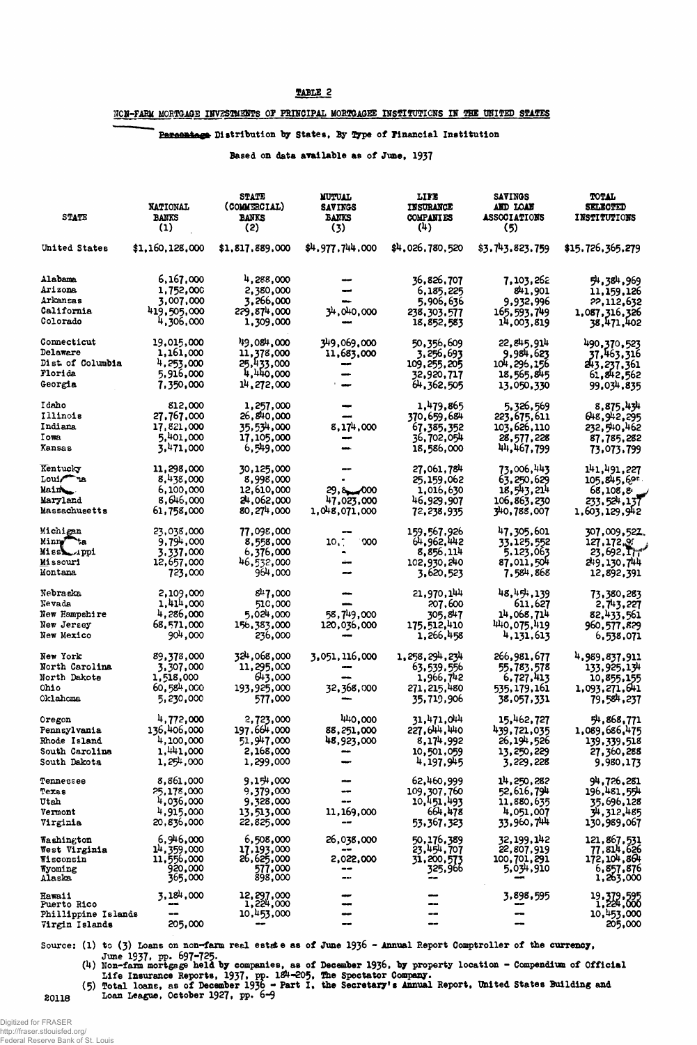#### TABLE 2

## NON-FARM MORTGAGE INVESTMENTS OF PRINCIPAL MORTGAGEE INSTITUTIONS IN THE UNITED STATES

## Persentage Distribution by States, By Type of Financial Institution

#### Based on data available as of June, 1937

| <b>STATE</b>                        | <b>NATIONAL</b><br><b>BANKS</b><br>(1) | <b>STATE</b><br>(COMMERCIAL)<br><b>BANKS</b><br>(2) | <b>MUTUAL</b><br><b>SAVINGS</b><br><b>BANKS</b><br>(3) | LIFE<br><b>INSURANCE</b><br><b>COMPANTES</b><br>(4) | <b>SAVINGS</b><br><b>AND LOAN</b><br><b>ASSOCIATIONS</b><br>(5) | TOTAL<br><u> SEIMOTIEB</u><br><b>INSTITUTIONS</b> |
|-------------------------------------|----------------------------------------|-----------------------------------------------------|--------------------------------------------------------|-----------------------------------------------------|-----------------------------------------------------------------|---------------------------------------------------|
| United States                       | \$1,160,128,000                        | \$1,817,889,000                                     | \$4,977,744,000                                        | \$4,026,780,520                                     | \$3.743.823.759                                                 | \$15,726,365,279                                  |
| Alabama<br><b>Arizona</b>           | 6,167,000<br>1,752,000                 | 4,288,000<br>2,380,000                              |                                                        | 36,826,707<br>6,185,225                             | 7,103,262<br>841,901                                            | 54,384,969                                        |
| Arkansas                            | 3,007,000                              | 3,266,000                                           |                                                        | 5,906,636                                           | 9,932,996                                                       | 11,159,126<br>22,112,632                          |
| California                          | 419,505,000                            | 229,874,000                                         | 34,040,000                                             | 238,303,577                                         | 165,593,749                                                     | 1,087,316,326                                     |
| Colorado                            | 4,306,000                              | 1,309,000                                           |                                                        | 18,852,583                                          | 14,003,819                                                      | 38,471,402                                        |
| <b>Connecticut</b>                  | 19,015,000                             | 49,084,000                                          | 349,069,000                                            | 50,356,609                                          | 22,845,914                                                      | 490,370,523                                       |
| <b>Delaware</b><br>Dist of Columbia | 1,161,000                              | 11,378,000                                          | 11,683,000                                             | 3,256,693                                           | 9,984,623                                                       | 37.463.316                                        |
| Florida                             | 4,253,000<br>5,916,000                 | 25,433,000<br>4,440,000                             | -                                                      | 109,255,205<br>32,920,717                           | 104,296,156<br>18,565,845                                       | 243,237,361                                       |
| Georgia                             | 7,350,000                              | 14,272,000                                          |                                                        | 64,362,505                                          | 13,050,330                                                      | 61,842,562<br>99.034.835                          |
| Idaho                               | 812,000                                | 1,257,000                                           |                                                        | 1,479,865                                           | 5,326,569                                                       | 8,875,434                                         |
| Illinois                            | 27,767,000                             | 26,840,000                                          |                                                        | 370,659,684                                         | 223,675,611                                                     | 648,942,295                                       |
| Indiana                             | 17,821,000                             | 35,534,000                                          | 8,174,000                                              | 67,385,352                                          | 103,626,110                                                     | 232, 540, 462                                     |
| Iowa                                | 5,401,000                              | 17,105,000                                          |                                                        | 36,702,054                                          | 28,577,228                                                      | 87,785,282                                        |
| Kansas                              | 3,471,000                              | 6,549,000                                           |                                                        | 18,586,000                                          | 44,467,799                                                      | 73,073,799                                        |
| Kentucky                            | 11,298,000                             | 30,125,000                                          |                                                        | 27,061,784                                          | 73,006,443                                                      | 141,491,227                                       |
| Louis <sup>n</sup> a                | 8,438,000                              | 8,998,000                                           |                                                        | 25,159,062                                          | 63,250,629                                                      | 105,845,69                                        |
| Mainter                             | 6,100,000                              | 12,610,000                                          | $29,8$ $000$                                           | 1,016,630                                           | 18,543,214                                                      | 68,108,8                                          |
| Maryland<br>Massachusetts           | 8,646,000<br>61,758,000                | 24,062,000<br>80, 274,000                           | 47,023,000<br>1,048,071,000                            | 46,929,907<br>72,238,935                            | 106,863,230<br>340,788,007                                      | 233,524,137<br>1,603,129,942                      |
| Michigan                            | 23,038,000                             | 77,098,000                                          |                                                        | 159,567,926                                         | 47,305,601                                                      | 307,009,527.                                      |
| Minng ta                            | 9,794,000                              | 8,558,000                                           | .000<br>10,7                                           | 64,962,442                                          | 33,125,552                                                      | 127,172,99                                        |
| Missi uppi                          | 3,337,000                              | 6,376,000                                           |                                                        | 8,856,114                                           | 5,123,063                                                       | 23,692,7                                          |
| <b>Missouri</b><br><b>Montana</b>   | 12,657,000<br>723,000                  | 46,532,000<br>964,000                               |                                                        | 102,930,240<br>3,620,523                            | 87,011,504<br>7,584,868                                         | 249,130,744<br>12,892,391                         |
| Nebraska                            | 2,109,000                              | 847,000                                             |                                                        | 21,970,144                                          | 48,454,139                                                      | 73,380,283                                        |
| Nevada                              | 1,414,000                              | 510,000                                             |                                                        | 207,600                                             | 611,627                                                         | 2,743,227                                         |
| New Hampshir <mark>e</mark>         | 4,286,000                              | 5,024,000                                           | 58,749,000                                             | 305.847                                             | 14,068,714                                                      | 82,433,561                                        |
| New Jersey                          | 68,571,000                             | 156,383,000                                         | 120,036,000                                            | 175,512,410                                         | 440,075,419                                                     | 960,577,829                                       |
| New Mexico                          | 904,000                                | 236,000                                             |                                                        | 1,266,458                                           | 4,131,613                                                       | 6,538,071                                         |
| New York<br><b>North Carolina</b>   | 89,378,000<br>3,307,000                | 324,068,000<br>11,295,000                           | 3,051,116,000                                          | 1, 258, 294, 234                                    | 266,981,677<br>55,783,578                                       | 4,989,837,911                                     |
| North Dakots                        | 1,518,000                              | 643,000                                             |                                                        | 63,539,556<br>1,966,742                             | 6,727,413                                                       | 133,925,134<br>10,855,155                         |
| <b>Ohio</b>                         | 60,584,000                             | 193,925,000                                         | 32,368,000                                             | 271,215,480                                         | 535,179,161                                                     | 1,093,271,641                                     |
| <b>Oklahoma</b>                     | 5,230,000                              | 577,000                                             |                                                        | 35,719,906                                          | 38,057,331                                                      | 79,584,237                                        |
| <b>Oregon</b>                       | 4,772,000                              | 2,723,000                                           | 440,000                                                | 31,471,044                                          | 15,462,727                                                      | 54,868,771                                        |
| Pennsylvania                        | 136,406,000                            | 197,664,000                                         | 88,251,000                                             | 227,644,440                                         | 439,721,035                                                     | 1,089,686,475                                     |
| <b>Rhode Island</b>                 | 4,100,000                              | 51,947,000                                          | 48,923,000                                             | 8,174,992                                           | 26,194,526                                                      | 139,339,518                                       |
| South Carolina<br>South Dakota      | 1,441,000<br>$1,25^{11},000$           | 2,168,000<br>1,299,000                              |                                                        | 10,501,059<br>4,197,945                             | 13, 250, 229<br>3,229,228                                       | 27,360,288<br>9,980,173                           |
| Tennessee                           | 8,861,000                              | 9,17,000                                            |                                                        | 62,460,999                                          | 14,250,282                                                      | 94,726,281                                        |
| Texas                               | 25,178,000                             | 9,379,000                                           |                                                        | 109,307,760                                         | 52,616,794                                                      | 196,481,554                                       |
| Utah                                | 4,036,000                              | 9,328,000                                           |                                                        | 10,451,493                                          | 11,880,635                                                      | 35,696,128                                        |
| Vermont<br>Virginia                 | 4,915,000<br>20,836,000                | 13,513,000<br>22,825,000                            | 11,169,000                                             | 664,478<br>53,367,323                               | 4,051,007<br><b>33.960,744</b>                                  | 34,312,485<br>130,989,067                         |
| <b>Washington</b>                   | 6,946,000                              | 6,508,000                                           | 26,038,000                                             | 50,176,389                                          | 32,199,142                                                      | 121,867,531                                       |
| West Virginia                       | 14,359,000                             | 17,193,000                                          |                                                        | 23,454,707                                          | 22,807,919                                                      | 77,814,626                                        |
| <b>Wisconsin</b><br>Wyoming         | 11,556,000<br>920,000                  | 26,625,000<br>577,000                               | 2,022,000                                              | 31,200,573<br>325,966                               | 100,701,291<br>5,034,910                                        | 172, 104, 864<br>6,857,876                        |
| Alaska                              | 365,000                                | 898,000                                             |                                                        |                                                     |                                                                 | 1,263,000                                         |
| <b>Hawaii</b><br><b>Puerto Rico</b> | 3,184,000                              | 12, 297,000<br>1, 224,000                           |                                                        |                                                     | 3,898,595                                                       | 19, 379, 595<br>1, 224, 000                       |
| Phillippine Islands                 |                                        | 10,453,000                                          |                                                        |                                                     |                                                                 | 10,453,000                                        |
| Virgin Islands                      | 205,000                                |                                                     |                                                        |                                                     |                                                                 | 205,000                                           |

Source: (1) to (3) Loans on non-farm real estate as of June 1936 - Annual Report Comptroller of the currency,

June 1937, pp. 697-725.<br>
(4) Non-farm mortgage held by companies, as of December 1936, by property location - Compendium of Official<br>
Life Insurance Reports, 1937, pp. 124-205, The Spectator Company.<br>
(5) Total loans, as o

20118